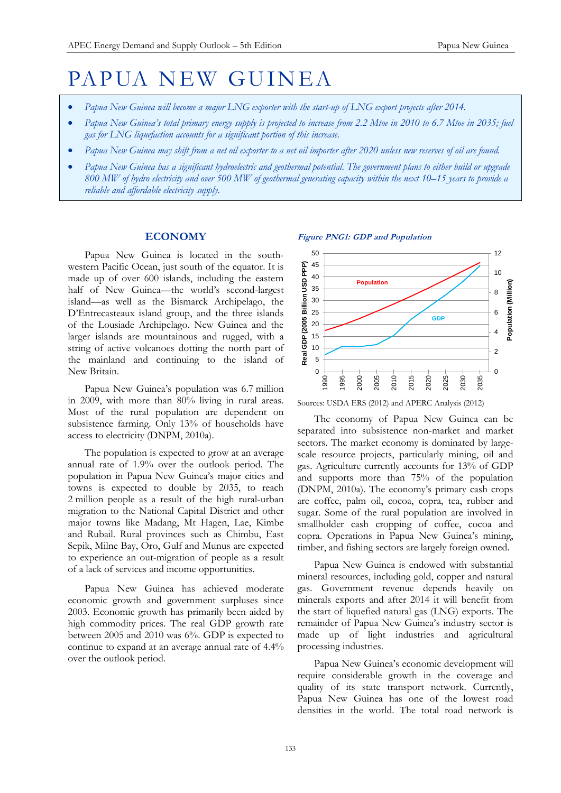# PAPUA NEW GUINEA

- *Papua New Guinea will become a major LNG exporter with the start-up of LNG export projects after 2014.*
- Papua New Guinea's total primary energy supply is projected to increase from 2.2 Mtoe in 2010 to 6.7 Mtoe in 2035; fuel *gas for LNG liquefaction accounts for a significant portion of this increase.*
- *Papua New Guinea may shift from a net oil exporter to a net oil importer after 2020 unless new reserves of oil are found.*
- *Papua New Guinea has a significant hydroelectric and geothermal potential. The government plans to either build or upgrade 800 MW of hydro electricity and over 500 MW of geothermal generating capacity within the next 10–15 years to provide a reliable and affordable electricity supply.*

#### **ECONOMY**

Papua New Guinea is located in the southwestern Pacific Ocean, just south of the equator. It is made up of over 600 islands, including the eastern half of New Guinea—the world's second-largest island—as well as the Bismarck Archipelago, the D'Entrecasteaux island group, and the three islands of the Lousiade Archipelago. New Guinea and the larger islands are mountainous and rugged, with a string of active volcanoes dotting the north part of the mainland and continuing to the island of New Britain.

Papua New Guinea's population was 6.7 million in 2009, with more than 80% living in rural areas. Most of the rural population are dependent on subsistence farming. Only 13% of households have access to electricity (DNPM, 2010a).

The population is expected to grow at an average annual rate of 1.9% over the outlook period. The population in Papua New Guinea's major cities and towns is expected to double by 2035, to reach 2 million people as a result of the high rural-urban migration to the National Capital District and other major towns like Madang, Mt Hagen, Lae, Kimbe and Rubail. Rural provinces such as Chimbu, East Sepik, Milne Bay, Oro, Gulf and Munus are expected to experience an out-migration of people as a result of a lack of services and income opportunities.

Papua New Guinea has achieved moderate economic growth and government surpluses since 2003. Economic growth has primarily been aided by high commodity prices. The real GDP growth rate between 2005 and 2010 was 6%. GDP is expected to continue to expand at an average annual rate of 4.4% over the outlook period.



Sources: USDA ERS (2012) and APERC Analysis (2012)

The economy of Papua New Guinea can be separated into subsistence non-market and market sectors. The market economy is dominated by largescale resource projects, particularly mining, oil and gas. Agriculture currently accounts for 13% of GDP and supports more than 75% of the population (DNPM, 2010a). The economy's primary cash crops are coffee, palm oil, cocoa, copra, tea, rubber and sugar. Some of the rural population are involved in smallholder cash cropping of coffee, cocoa and copra. Operations in Papua New Guinea's mining, timber, and fishing sectors are largely foreign owned.

Papua New Guinea is endowed with substantial mineral resources, including gold, copper and natural gas. Government revenue depends heavily on minerals exports and after 2014 it will benefit from the start of liquefied natural gas (LNG) exports. The remainder of Papua New Guinea's industry sector is made up of light industries and agricultural processing industries.

Papua New Guinea's economic development will require considerable growth in the coverage and quality of its state transport network. Currently, Papua New Guinea has one of the lowest road densities in the world. The total road network is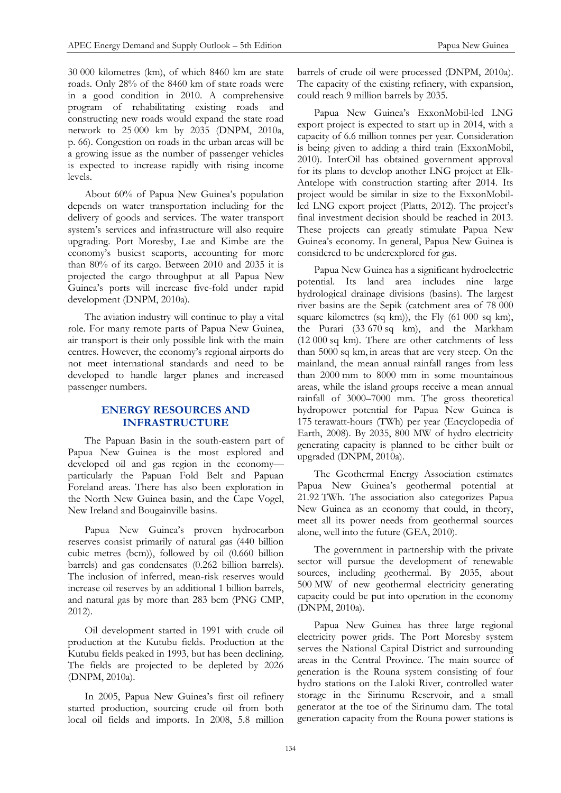30 000 kilometres (km), of which 8460 km are state roads. Only 28% of the 8460 km of state roads were in a good condition in 2010. A comprehensive program of rehabilitating existing roads and constructing new roads would expand the state road network to 25 000 km by 2035 (DNPM, 2010a, p. 66). Congestion on roads in the urban areas will be a growing issue as the number of passenger vehicles is expected to increase rapidly with rising income levels.

About 60% of Papua New Guinea's population depends on water transportation including for the delivery of goods and services. The water transport system's services and infrastructure will also require upgrading. Port Moresby, Lae and Kimbe are the economy's busiest seaports, accounting for more than 80% of its cargo. Between 2010 and 2035 it is projected the cargo throughput at all Papua New Guinea's ports will increase five-fold under rapid development (DNPM, 2010a).

The aviation industry will continue to play a vital role. For many remote parts of Papua New Guinea, air transport is their only possible link with the main centres. However, the economy's regional airports do not meet international standards and need to be developed to handle larger planes and increased passenger numbers.

# **ENERGY RESOURCES AND INFRASTRUCTURE**

The Papuan Basin in the south-eastern part of Papua New Guinea is the most explored and developed oil and gas region in the economy particularly the Papuan Fold Belt and Papuan Foreland areas. There has also been exploration in the North New Guinea basin, and the Cape Vogel, New Ireland and Bougainville basins.

Papua New Guinea's proven hydrocarbon reserves consist primarily of natural gas (440 billion cubic metres (bcm)), followed by oil (0.660 billion barrels) and gas condensates (0.262 billion barrels). The inclusion of inferred, mean-risk reserves would increase oil reserves by an additional 1 billion barrels, and natural gas by more than 283 bcm (PNG CMP, 2012).

Oil development started in 1991 with crude oil production at the Kutubu fields. Production at the Kutubu fields peaked in 1993, but has been declining. The fields are projected to be depleted by 2026 (DNPM, 2010a).

In 2005, Papua New Guinea's first oil refinery started production, sourcing crude oil from both local oil fields and imports. In 2008, 5.8 million barrels of crude oil were processed (DNPM, 2010a). The capacity of the existing refinery, with expansion, could reach 9 million barrels by 2035.

Papua New Guinea's ExxonMobil-led LNG export project is expected to start up in 2014, with a capacity of 6.6 million tonnes per year. Consideration is being given to adding a third train (ExxonMobil, 2010). InterOil has obtained government approval for its plans to develop another LNG project at Elk-Antelope with construction starting after 2014. Its project would be similar in size to the ExxonMobilled LNG export project (Platts, 2012). The project's final investment decision should be reached in 2013. These projects can greatly stimulate Papua New Guinea's economy. In general, Papua New Guinea is considered to be underexplored for gas.

Papua New Guinea has a significant hydroelectric potential. Its land area includes nine large hydrological drainage divisions (basins). The largest river basins are the Sepik (catchment area of 78 000 square kilometres (sq km)), the Fly (61 000 sq km), the Purari (33 670 sq km), and the Markham (12 000 sq km). There are other catchments of less than 5000 sq km, in areas that are very steep. On the mainland, the mean annual rainfall ranges from less than 2000 mm to 8000 mm in some mountainous areas, while the island groups receive a mean annual rainfall of 3000–7000 mm. The gross theoretical hydropower potential for Papua New Guinea is 175 terawatt-hours (TWh) per year (Encyclopedia of Earth, 2008). By 2035, 800 MW of hydro electricity generating capacity is planned to be either built or upgraded (DNPM, 2010a).

The Geothermal Energy Association estimates Papua New Guinea's geothermal potential at 21.92 TWh. The association also categorizes Papua New Guinea as an economy that could, in theory, meet all its power needs from geothermal sources alone, well into the future (GEA, 2010).

The government in partnership with the private sector will pursue the development of renewable sources, including geothermal. By 2035, about 500 MW of new geothermal electricity generating capacity could be put into operation in the economy (DNPM, 2010a).

Papua New Guinea has three large regional electricity power grids. The Port Moresby system serves the National Capital District and surrounding areas in the Central Province. The main source of generation is the Rouna system consisting of four hydro stations on the Laloki River, controlled water storage in the Sirinumu Reservoir, and a small generator at the toe of the Sirinumu dam. The total generation capacity from the Rouna power stations is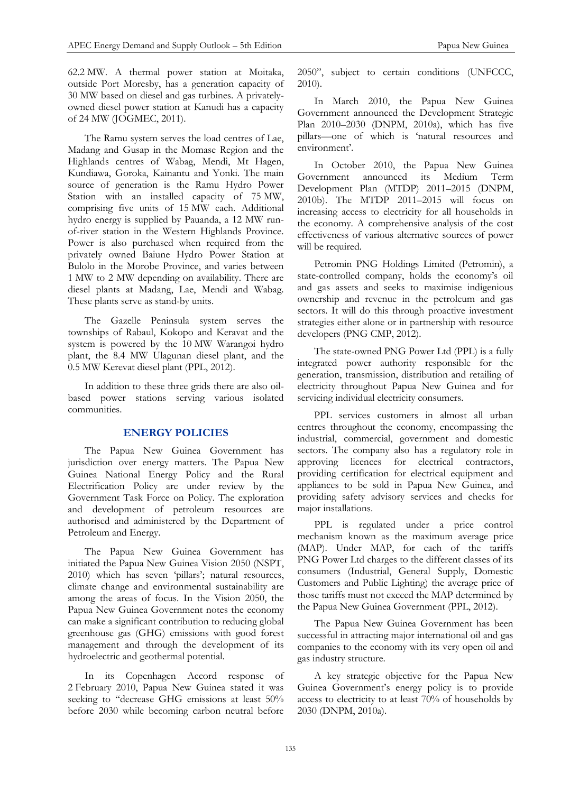62.2 MW. A thermal power station at Moitaka, outside Port Moresby, has a generation capacity of 30 MW based on diesel and gas turbines. A privatelyowned diesel power station at Kanudi has a capacity of 24 MW (JOGMEC, 2011).

The Ramu system serves the load centres of Lae, Madang and Gusap in the Momase Region and the Highlands centres of Wabag, Mendi, Mt Hagen, Kundiawa, Goroka, Kainantu and Yonki. The main source of generation is the Ramu Hydro Power Station with an installed capacity of 75 MW, comprising five units of 15 MW each. Additional hydro energy is supplied by Pauanda, a 12 MW runof-river station in the Western Highlands Province. Power is also purchased when required from the privately owned Baiune Hydro Power Station at Bulolo in the Morobe Province, and varies between 1 MW to 2 MW depending on availability. There are diesel plants at Madang, Lae, Mendi and Wabag. These plants serve as stand-by units.

The Gazelle Peninsula system serves the townships of Rabaul, Kokopo and Keravat and the system is powered by the 10 MW Warangoi hydro plant, the 8.4 MW Ulagunan diesel plant, and the 0.5 MW Kerevat diesel plant (PPL, 2012).

In addition to these three grids there are also oilbased power stations serving various isolated communities.

#### **ENERGY POLICIES**

The Papua New Guinea Government has jurisdiction over energy matters. The Papua New Guinea National Energy Policy and the Rural Electrification Policy are under review by the Government Task Force on Policy. The exploration and development of petroleum resources are authorised and administered by the Department of Petroleum and Energy.

The Papua New Guinea Government has initiated the Papua New Guinea Vision 2050 (NSPT, 2010) which has seven 'pillars'; natural resources, climate change and environmental sustainability are among the areas of focus. In the Vision 2050, the Papua New Guinea Government notes the economy can make a significant contribution to reducing global greenhouse gas (GHG) emissions with good forest management and through the development of its hydroelectric and geothermal potential.

In its Copenhagen Accord response of 2 February 2010, Papua New Guinea stated it was seeking to "decrease GHG emissions at least 50% before 2030 while becoming carbon neutral before

2050", subject to certain conditions (UNFCCC, 2010).

In March 2010, the Papua New Guinea Government announced the Development Strategic Plan 2010–2030 (DNPM, 2010a), which has five pillars—one of which is 'natural resources and environment'.

In October 2010, the Papua New Guinea Government announced its Medium Term Development Plan (MTDP) 2011–2015 (DNPM, 2010b). The MTDP 2011–2015 will focus on increasing access to electricity for all households in the economy. A comprehensive analysis of the cost effectiveness of various alternative sources of power will be required.

Petromin PNG Holdings Limited (Petromin), a state-controlled company, holds the economy's oil and gas assets and seeks to maximise indigenious ownership and revenue in the petroleum and gas sectors. It will do this through proactive investment strategies either alone or in partnership with resource developers (PNG CMP, 2012).

The state-owned PNG Power Ltd (PPL) is a fully integrated power authority responsible for the generation, transmission, distribution and retailing of electricity throughout Papua New Guinea and for servicing individual electricity consumers.

PPL services customers in almost all urban centres throughout the economy, encompassing the industrial, commercial, government and domestic sectors. The company also has a regulatory role in approving licences for electrical contractors, providing certification for electrical equipment and appliances to be sold in Papua New Guinea, and providing safety advisory services and checks for major installations.

PPL is regulated under a price control mechanism known as the maximum average price (MAP). Under MAP, for each of the tariffs PNG Power Ltd charges to the different classes of its consumers (Industrial, General Supply, Domestic Customers and Public Lighting) the average price of those tariffs must not exceed the MAP determined by the Papua New Guinea Government (PPL, 2012).

The Papua New Guinea Government has been successful in attracting major international oil and gas companies to the economy with its very open oil and gas industry structure.

A key strategic objective for the Papua New Guinea Government's energy policy is to provide access to electricity to at least 70% of households by 2030 (DNPM, 2010a).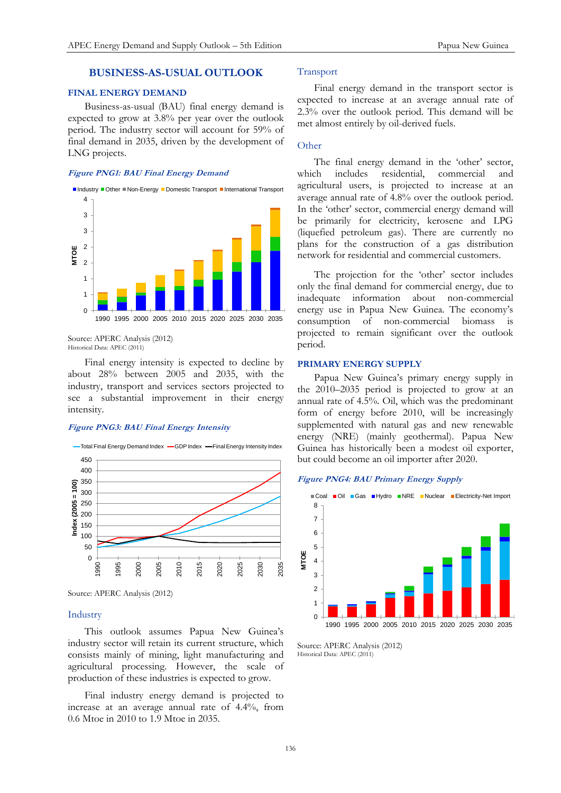# **BUSINESS-AS-USUAL OUTLOOK**

## **FINAL ENERGY DEMAND**

Business-as-usual (BAU) final energy demand is expected to grow at 3.8% per year over the outlook period. The industry sector will account for 59% of final demand in 2035, driven by the development of LNG projects.

#### **Figure PNG1: BAU Final Energy Demand**



Source: APERC Analysis (2012) Historical Data: APEC (2011)

Final energy intensity is expected to decline by about 28% between 2005 and 2035, with the industry, transport and services sectors projected to see a substantial improvement in their energy intensity.

#### **Figure PNG3: BAU Final Energy Intensity**



Source: APERC Analysis (2012)

## Industry

This outlook assumes Papua New Guinea's industry sector will retain its current structure, which consists mainly of mining, light manufacturing and agricultural processing. However, the scale of production of these industries is expected to grow.

Final industry energy demand is projected to increase at an average annual rate of 4.4%, from 0.6 Mtoe in 2010 to 1.9 Mtoe in 2035.

## Transport

Final energy demand in the transport sector is expected to increase at an average annual rate of 2.3% over the outlook period. This demand will be met almost entirely by oil-derived fuels.

#### **Other**

The final energy demand in the 'other' sector, which includes residential, commercial and agricultural users, is projected to increase at an average annual rate of 4.8% over the outlook period. In the 'other' sector, commercial energy demand will be primarily for electricity, kerosene and LPG (liquefied petroleum gas). There are currently no plans for the construction of a gas distribution network for residential and commercial customers.

The projection for the 'other' sector includes only the final demand for commercial energy, due to inadequate information about non-commercial energy use in Papua New Guinea. The economy's consumption of non-commercial biomass is projected to remain significant over the outlook period.

#### **PRIMARY ENERGY SUPPLY**

Papua New Guinea's primary energy supply in the 2010–2035 period is projected to grow at an annual rate of 4.5%. Oil, which was the predominant form of energy before 2010, will be increasingly supplemented with natural gas and new renewable energy (NRE) (mainly geothermal). Papua New Guinea has historically been a modest oil exporter, but could become an oil importer after 2020.

# **Figure PNG4: BAU Primary Energy Supply**



Source: APERC Analysis (2012) Historical Data: APEC (2011)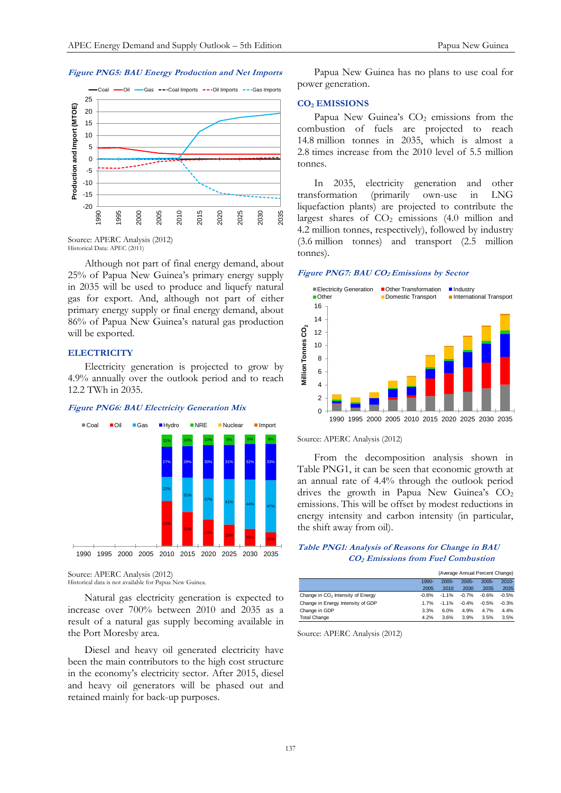#### **Figure PNG5: BAU Energy Production and Net Imports**



Source: APERC Analysis (2012) Historical Data: APEC (2011)

Although not part of final energy demand, about 25% of Papua New Guinea's primary energy supply in 2035 will be used to produce and liquefy natural gas for export. And, although not part of either primary energy supply or final energy demand, about 86% of Papua New Guinea's natural gas production will be exported.

#### **ELECTRICITY**

Electricity generation is projected to grow by 4.9% annually over the outlook period and to reach 12.2 TWh in 2035.

#### **Figure PNG6: BAU Electricity Generation Mix**



Source: APERC Analysis (2012) Historical data is not available for Papua New Guinea.

Natural gas electricity generation is expected to increase over 700% between 2010 and 2035 as a result of a natural gas supply becoming available in the Port Moresby area.

Diesel and heavy oil generated electricity have been the main contributors to the high cost structure in the economy's electricity sector. After 2015, diesel and heavy oil generators will be phased out and retained mainly for back-up purposes.

Papua New Guinea has no plans to use coal for power generation.

#### **CO<sup>2</sup> EMISSIONS**

Papua New Guinea's CO<sub>2</sub> emissions from the combustion of fuels are projected to reach 14.8 million tonnes in 2035, which is almost a 2.8 times increase from the 2010 level of 5.5 million tonnes.

In 2035, electricity generation and other transformation (primarily own-use in LNG liquefaction plants) are projected to contribute the largest shares of  $CO<sub>2</sub>$  emissions (4.0 million and 4.2 million tonnes, respectively), followed by industry (3.6 million tonnes) and transport (2.5 million tonnes).

## **Figure PNG7: BAU CO2 Emissions by Sector**



Source: APERC Analysis (2012)

From the decomposition analysis shown in Table PNG1, it can be seen that economic growth at an annual rate of 4.4% through the outlook period drives the growth in Papua New Guinea's CO<sub>2</sub> emissions. This will be offset by modest reductions in energy intensity and carbon intensity (in particular, the shift away from oil).

## **Table PNG1: Analysis of Reasons for Change in BAU CO2 Emissions from Fuel Combustion**

|                                               | (Average Annual Percent Change) |          |          |          |          |
|-----------------------------------------------|---------------------------------|----------|----------|----------|----------|
|                                               | 1990-                           | $2005 -$ | $2005 -$ | $2005 -$ | $2010 -$ |
|                                               | 2005                            | 2010     | 2030     | 2035     | 2035     |
| Change in CO <sub>2</sub> Intensity of Energy | $-0.8%$                         | $-1.1%$  | $-0.7%$  | $-0.6%$  | $-0.5%$  |
| Change in Energy Intensity of GDP             | 1.7%                            | $-1.1%$  | $-0.4%$  | $-0.5%$  | $-0.3%$  |
| Change in GDP                                 | 3.3%                            | 6.0%     | 4.9%     | 4.7%     | 4.4%     |
| <b>Total Change</b>                           | 4.2%                            | 3.6%     | 3.9%     | 3.5%     | 3.5%     |

Source: APERC Analysis (2012)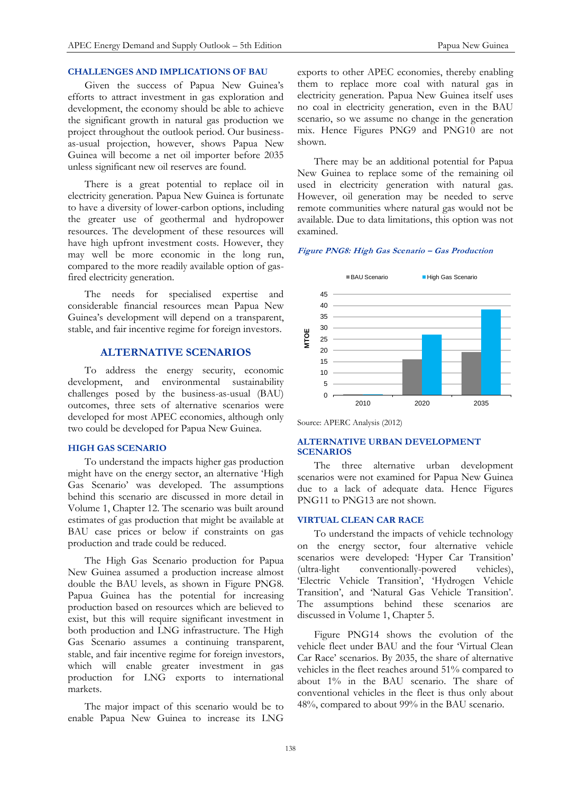# **CHALLENGES AND IMPLICATIONS OF BAU**

Given the success of Papua New Guinea's efforts to attract investment in gas exploration and development, the economy should be able to achieve the significant growth in natural gas production we project throughout the outlook period. Our businessas-usual projection, however, shows Papua New Guinea will become a net oil importer before 2035 unless significant new oil reserves are found.

There is a great potential to replace oil in electricity generation. Papua New Guinea is fortunate to have a diversity of lower-carbon options, including the greater use of geothermal and hydropower resources. The development of these resources will have high upfront investment costs. However, they may well be more economic in the long run, compared to the more readily available option of gasfired electricity generation.

The needs for specialised expertise and considerable financial resources mean Papua New Guinea's development will depend on a transparent, stable, and fair incentive regime for foreign investors.

# **ALTERNATIVE SCENARIOS**

To address the energy security, economic development, and environmental sustainability challenges posed by the business-as-usual (BAU) outcomes, three sets of alternative scenarios were developed for most APEC economies, although only two could be developed for Papua New Guinea.

#### **HIGH GAS SCENARIO**

To understand the impacts higher gas production might have on the energy sector, an alternative 'High Gas Scenario' was developed. The assumptions behind this scenario are discussed in more detail in Volume 1, Chapter 12. The scenario was built around estimates of gas production that might be available at BAU case prices or below if constraints on gas production and trade could be reduced.

The High Gas Scenario production for Papua New Guinea assumed a production increase almost double the BAU levels, as shown in Figure PNG8. Papua Guinea has the potential for increasing production based on resources which are believed to exist, but this will require significant investment in both production and LNG infrastructure. The High Gas Scenario assumes a continuing transparent, stable, and fair incentive regime for foreign investors, which will enable greater investment in gas production for LNG exports to international markets.

The major impact of this scenario would be to enable Papua New Guinea to increase its LNG

exports to other APEC economies, thereby enabling them to replace more coal with natural gas in electricity generation. Papua New Guinea itself uses no coal in electricity generation, even in the BAU scenario, so we assume no change in the generation mix. Hence Figures PNG9 and PNG10 are not shown.

There may be an additional potential for Papua New Guinea to replace some of the remaining oil used in electricity generation with natural gas. However, oil generation may be needed to serve remote communities where natural gas would not be available. Due to data limitations, this option was not examined.

#### **Figure PNG8: High Gas Scenario – Gas Production**



Source: APERC Analysis (2012)

# **ALTERNATIVE URBAN DEVELOPMENT SCENARIOS**

The three alternative urban development scenarios were not examined for Papua New Guinea due to a lack of adequate data. Hence Figures PNG11 to PNG13 are not shown.

#### **VIRTUAL CLEAN CAR RACE**

To understand the impacts of vehicle technology on the energy sector, four alternative vehicle scenarios were developed: 'Hyper Car Transition' (ultra-light conventionally-powered vehicles), 'Electric Vehicle Transition', 'Hydrogen Vehicle Transition', and 'Natural Gas Vehicle Transition'. The assumptions behind these scenarios are discussed in Volume 1, Chapter 5.

Figure PNG14 shows the evolution of the vehicle fleet under BAU and the four 'Virtual Clean Car Race' scenarios. By 2035, the share of alternative vehicles in the fleet reaches around 51% compared to about 1% in the BAU scenario. The share of conventional vehicles in the fleet is thus only about 48%, compared to about 99% in the BAU scenario.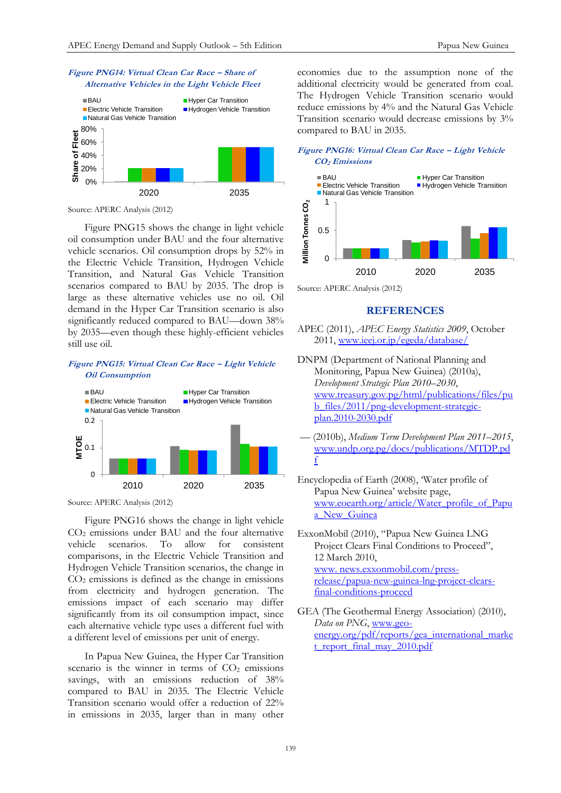



Source: APERC Analysis (2012)

Figure PNG15 shows the change in light vehicle oil consumption under BAU and the four alternative vehicle scenarios. Oil consumption drops by 52% in the Electric Vehicle Transition, Hydrogen Vehicle Transition, and Natural Gas Vehicle Transition scenarios compared to BAU by 2035. The drop is large as these alternative vehicles use no oil. Oil demand in the Hyper Car Transition scenario is also significantly reduced compared to BAU—down 38% by 2035—even though these highly-efficient vehicles still use oil.

**Figure PNG15: Virtual Clean Car Race – Light Vehicle Oil Consumption**



Source: APERC Analysis (2012)

Figure PNG16 shows the change in light vehicle CO<sub>2</sub> emissions under BAU and the four alternative vehicle scenarios. To allow for consistent comparisons, in the Electric Vehicle Transition and Hydrogen Vehicle Transition scenarios, the change in  $CO<sub>2</sub>$  emissions is defined as the change in emissions from electricity and hydrogen generation. The emissions impact of each scenario may differ significantly from its oil consumption impact, since each alternative vehicle type uses a different fuel with a different level of emissions per unit of energy.

In Papua New Guinea, the Hyper Car Transition scenario is the winner in terms of  $CO<sub>2</sub>$  emissions savings, with an emissions reduction of  $38\%$ compared to BAU in 2035. The Electric Vehicle Transition scenario would offer a reduction of 22% in emissions in 2035, larger than in many other

economies due to the assumption none of the additional electricity would be generated from coal. The Hydrogen Vehicle Transition scenario would reduce emissions by 4% and the Natural Gas Vehicle Transition scenario would decrease emissions by 3% compared to BAU in 2035.

## **Figure PNG16: Virtual Clean Car Race – Light Vehicle CO2 Emissions**



Source: APERC Analysis (2012)

#### **REFERENCES**

- APEC (2011), *APEC Energy Statistics 2009*, October 2011, [www.ieej.or.jp/egeda/database/](http://www.ieej.or.jp/egeda/database/)
- DNPM (Department of National Planning and Monitoring, Papua New Guinea) (2010a), *Development Strategic Plan 2010–2030*, [www.treasury.gov.pg/html/publications/files/pu](http://www.treasury.gov.pg/html/publications/files/pub_files/2011/png-development-strategic-plan.2010-2030.pdf) [b\\_files/2011/png-development-strategic](http://www.treasury.gov.pg/html/publications/files/pub_files/2011/png-development-strategic-plan.2010-2030.pdf)[plan.2010-2030.pdf](http://www.treasury.gov.pg/html/publications/files/pub_files/2011/png-development-strategic-plan.2010-2030.pdf)
- –– (2010b), *Medium Term Development Plan 2011–2015*, [www.undp.org.pg/docs/publications/MTDP.pd](http://www.undp.org.pg/docs/publications/MTDP.pdf) [f](http://www.undp.org.pg/docs/publications/MTDP.pdf)
- Encyclopedia of Earth (2008), 'Water profile of Papua New Guinea' website page, [www.eoearth.org/article/Water\\_profile\\_of\\_Papu](http://www.eoearth.org/article/Water_profile_of_Papua_New_Guinea) [a\\_New\\_Guinea](http://www.eoearth.org/article/Water_profile_of_Papua_New_Guinea)
- ExxonMobil (2010), "Papua New Guinea LNG Project Clears Final Conditions to Proceed", 12 March 2010, [www. news.exxonmobil.com/press](http://news.exxonmobil.com/press-release/papua-new-guinea-lng-project-clears-final-conditions-proceed)[release/papua-new-guinea-lng-project-clears](http://news.exxonmobil.com/press-release/papua-new-guinea-lng-project-clears-final-conditions-proceed)[final-conditions-proceed](http://news.exxonmobil.com/press-release/papua-new-guinea-lng-project-clears-final-conditions-proceed)
- GEA (The Geothermal Energy Association) (2010), *Data on PNG*, [www.geo](http://www.geo-energy.org/pdf/reports/gea_international_market_report_final_may_2010.pdf)[energy.org/pdf/reports/gea\\_international\\_marke](http://www.geo-energy.org/pdf/reports/gea_international_market_report_final_may_2010.pdf) [t\\_report\\_final\\_may\\_2010.pdf](http://www.geo-energy.org/pdf/reports/gea_international_market_report_final_may_2010.pdf)